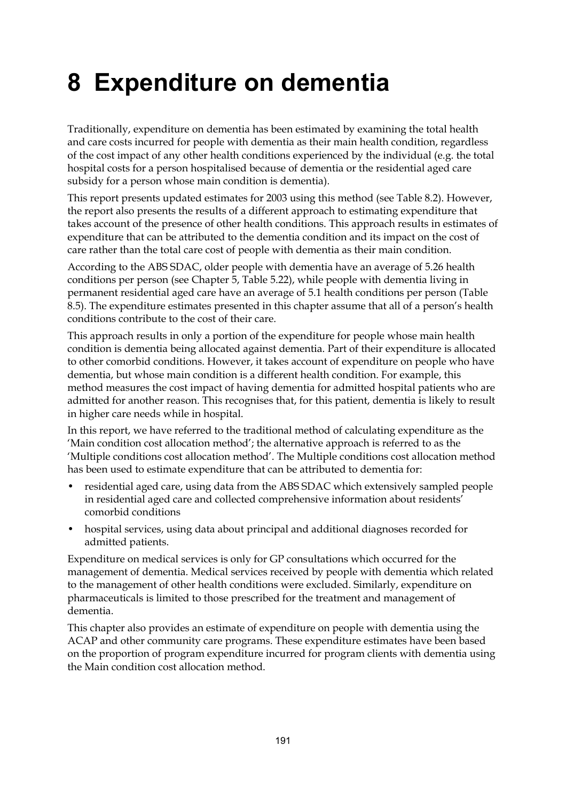# **8 Expenditure on dementia**

Traditionally, expenditure on dementia has been estimated by examining the total health and care costs incurred for people with dementia as their main health condition, regardless of the cost impact of any other health conditions experienced by the individual (e.g. the total hospital costs for a person hospitalised because of dementia or the residential aged care subsidy for a person whose main condition is dementia).

This report presents updated estimates for 2003 using this method (see Table 8.2). However, the report also presents the results of a different approach to estimating expenditure that takes account of the presence of other health conditions. This approach results in estimates of expenditure that can be attributed to the dementia condition and its impact on the cost of care rather than the total care cost of people with dementia as their main condition.

According to the ABS SDAC, older people with dementia have an average of 5.26 health conditions per person (see Chapter 5, Table 5.22), while people with dementia living in permanent residential aged care have an average of 5.1 health conditions per person (Table 8.5). The expenditure estimates presented in this chapter assume that all of a person's health conditions contribute to the cost of their care.

This approach results in only a portion of the expenditure for people whose main health condition is dementia being allocated against dementia. Part of their expenditure is allocated to other comorbid conditions. However, it takes account of expenditure on people who have dementia, but whose main condition is a different health condition. For example, this method measures the cost impact of having dementia for admitted hospital patients who are admitted for another reason. This recognises that, for this patient, dementia is likely to result in higher care needs while in hospital.

In this report, we have referred to the traditional method of calculating expenditure as the 'Main condition cost allocation method'; the alternative approach is referred to as the 'Multiple conditions cost allocation method'. The Multiple conditions cost allocation method has been used to estimate expenditure that can be attributed to dementia for:

- residential aged care, using data from the ABS SDAC which extensively sampled people in residential aged care and collected comprehensive information about residents' comorbid conditions
- hospital services, using data about principal and additional diagnoses recorded for admitted patients.

Expenditure on medical services is only for GP consultations which occurred for the management of dementia. Medical services received by people with dementia which related to the management of other health conditions were excluded. Similarly, expenditure on pharmaceuticals is limited to those prescribed for the treatment and management of dementia.

This chapter also provides an estimate of expenditure on people with dementia using the ACAP and other community care programs. These expenditure estimates have been based on the proportion of program expenditure incurred for program clients with dementia using the Main condition cost allocation method.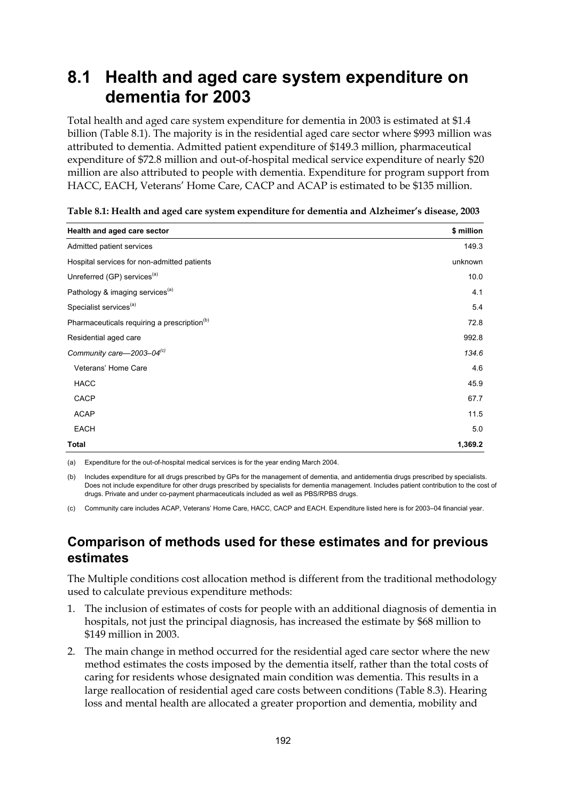### **8.1 Health and aged care system expenditure on dementia for 2003**

Total health and aged care system expenditure for dementia in 2003 is estimated at \$1.4 billion (Table 8.1). The majority is in the residential aged care sector where \$993 million was attributed to dementia. Admitted patient expenditure of \$149.3 million, pharmaceutical expenditure of \$72.8 million and out-of-hospital medical service expenditure of nearly \$20 million are also attributed to people with dementia. Expenditure for program support from HACC, EACH, Veterans' Home Care, CACP and ACAP is estimated to be \$135 million.

| Health and aged care sector                             | \$ million |
|---------------------------------------------------------|------------|
| Admitted patient services                               | 149.3      |
| Hospital services for non-admitted patients             | unknown    |
| Unreferred (GP) services <sup>(a)</sup>                 | 10.0       |
| Pathology & imaging services <sup>(a)</sup>             | 4.1        |
| Specialist services <sup>(a)</sup>                      | 5.4        |
| Pharmaceuticals requiring a prescription <sup>(b)</sup> | 72.8       |
| Residential aged care                                   | 992.8      |
| Community care-2003-04 <sup>(c)</sup>                   | 134.6      |
| Veterans' Home Care                                     | 4.6        |
| <b>HACC</b>                                             | 45.9       |
| CACP                                                    | 67.7       |
| <b>ACAP</b>                                             | 11.5       |
| <b>EACH</b>                                             | 5.0        |
| Total                                                   | 1,369.2    |

|  |  | Table 8.1: Health and aged care system expenditure for dementia and Alzheimer's disease, 2003 |
|--|--|-----------------------------------------------------------------------------------------------|
|  |  |                                                                                               |

(a) Expenditure for the out-of-hospital medical services is for the year ending March 2004.

(b) Includes expenditure for all drugs prescribed by GPs for the management of dementia, and antidementia drugs prescribed by specialists. Does not include expenditure for other drugs prescribed by specialists for dementia management. Includes patient contribution to the cost of drugs. Private and under co-payment pharmaceuticals included as well as PBS/RPBS drugs.

(c) Community care includes ACAP, Veterans' Home Care, HACC, CACP and EACH. Expenditure listed here is for 2003–04 financial year.

#### **Comparison of methods used for these estimates and for previous estimates**

The Multiple conditions cost allocation method is different from the traditional methodology used to calculate previous expenditure methods:

- 1. The inclusion of estimates of costs for people with an additional diagnosis of dementia in hospitals, not just the principal diagnosis, has increased the estimate by \$68 million to \$149 million in 2003.
- 2. The main change in method occurred for the residential aged care sector where the new method estimates the costs imposed by the dementia itself, rather than the total costs of caring for residents whose designated main condition was dementia. This results in a large reallocation of residential aged care costs between conditions (Table 8.3). Hearing loss and mental health are allocated a greater proportion and dementia, mobility and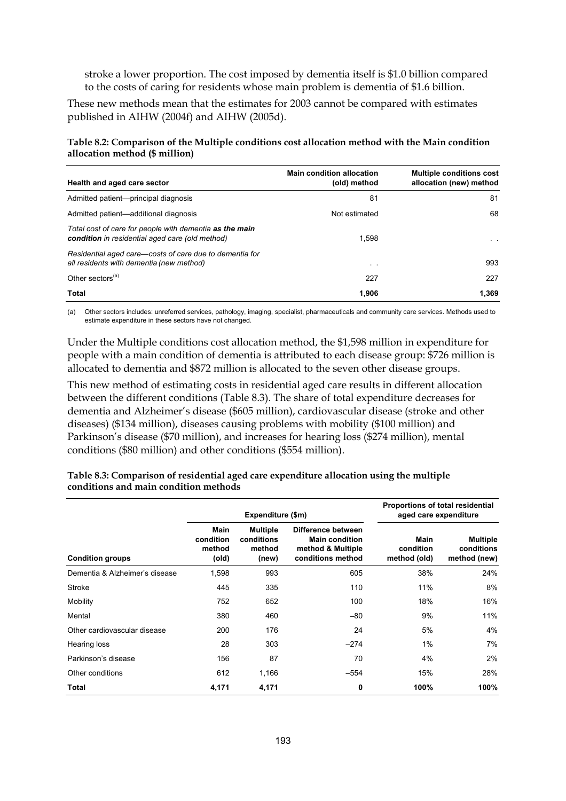stroke a lower proportion. The cost imposed by dementia itself is \$1.0 billion compared to the costs of caring for residents whose main problem is dementia of \$1.6 billion.

These new methods mean that the estimates for 2003 cannot be compared with estimates published in AIHW (2004f) and AIHW (2005d).

**Table 8.2: Comparison of the Multiple conditions cost allocation method with the Main condition allocation method (\$ million)** 

| Health and aged care sector                                                                                | <b>Main condition allocation</b><br>(old) method | <b>Multiple conditions cost</b><br>allocation (new) method |
|------------------------------------------------------------------------------------------------------------|--------------------------------------------------|------------------------------------------------------------|
| Admitted patient-principal diagnosis                                                                       | 81                                               | 81                                                         |
| Admitted patient—additional diagnosis                                                                      | Not estimated                                    | 68                                                         |
| Total cost of care for people with dementia as the main<br>condition in residential aged care (old method) | 1.598                                            | $\sim$ $\sim$                                              |
| Residential aged care–costs of care due to dementia for<br>all residents with dementia (new method)        | $\sim$ $\sim$                                    | 993                                                        |
| Other sectors <sup>(a)</sup>                                                                               | 227                                              | 227                                                        |
| Total                                                                                                      | 1.906                                            | 1.369                                                      |

(a) Other sectors includes: unreferred services, pathology, imaging, specialist, pharmaceuticals and community care services. Methods used to estimate expenditure in these sectors have not changed.

Under the Multiple conditions cost allocation method, the \$1,598 million in expenditure for people with a main condition of dementia is attributed to each disease group: \$726 million is allocated to dementia and \$872 million is allocated to the seven other disease groups.

This new method of estimating costs in residential aged care results in different allocation between the different conditions (Table 8.3). The share of total expenditure decreases for dementia and Alzheimer's disease (\$605 million), cardiovascular disease (stroke and other diseases) (\$134 million), diseases causing problems with mobility (\$100 million) and Parkinson's disease (\$70 million), and increases for hearing loss (\$274 million), mental conditions (\$80 million) and other conditions (\$554 million).

|                                |                                      | Expenditure (\$m)                                | Proportions of total residential<br>aged care expenditure                             |                                   |                                               |
|--------------------------------|--------------------------------------|--------------------------------------------------|---------------------------------------------------------------------------------------|-----------------------------------|-----------------------------------------------|
| <b>Condition groups</b>        | Main<br>condition<br>method<br>(old) | <b>Multiple</b><br>conditions<br>method<br>(new) | Difference between<br><b>Main condition</b><br>method & Multiple<br>conditions method | Main<br>condition<br>method (old) | <b>Multiple</b><br>conditions<br>method (new) |
| Dementia & Alzheimer's disease | 1,598                                | 993                                              | 605                                                                                   | 38%                               | 24%                                           |
| Stroke                         | 445                                  | 335                                              | 110                                                                                   | 11%                               | 8%                                            |
| Mobility                       | 752                                  | 652                                              | 100                                                                                   | 18%                               | 16%                                           |
| Mental                         | 380                                  | 460                                              | $-80$                                                                                 | 9%                                | 11%                                           |
| Other cardiovascular disease   | 200                                  | 176                                              | 24                                                                                    | 5%                                | 4%                                            |
| Hearing loss                   | 28                                   | 303                                              | $-274$                                                                                | 1%                                | 7%                                            |
| Parkinson's disease            | 156                                  | 87                                               | 70                                                                                    | 4%                                | 2%                                            |
| Other conditions               | 612                                  | 1,166                                            | $-554$                                                                                | 15%                               | 28%                                           |
| Total                          | 4,171                                | 4,171                                            | 0                                                                                     | 100%                              | 100%                                          |

| Table 8.3: Comparison of residential aged care expenditure allocation using the multiple |  |
|------------------------------------------------------------------------------------------|--|
| conditions and main condition methods                                                    |  |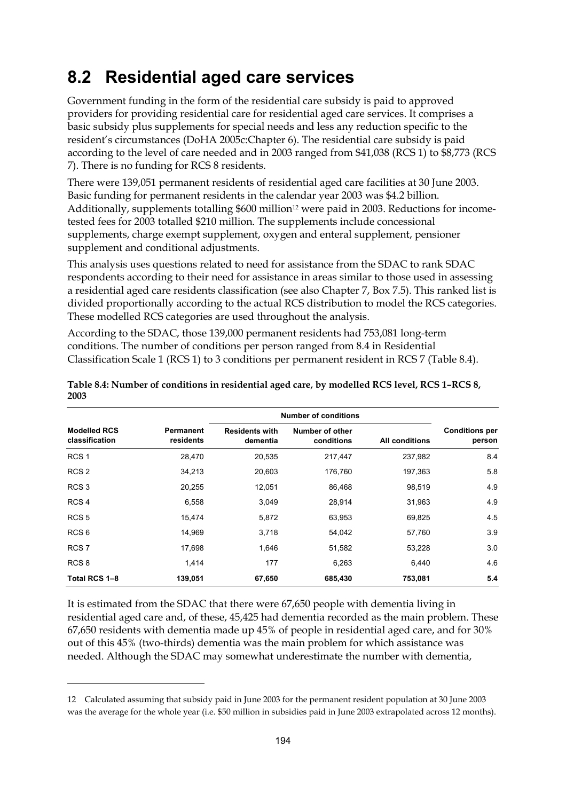### **8.2 Residential aged care services**

Government funding in the form of the residential care subsidy is paid to approved providers for providing residential care for residential aged care services. It comprises a basic subsidy plus supplements for special needs and less any reduction specific to the resident's circumstances (DoHA 2005c:Chapter 6). The residential care subsidy is paid according to the level of care needed and in 2003 ranged from \$41,038 (RCS 1) to \$8,773 (RCS 7). There is no funding for RCS 8 residents.

There were 139,051 permanent residents of residential aged care facilities at 30 June 2003. Basic funding for permanent residents in the calendar year 2003 was \$4.2 billion. Additionally, supplements totalling  $$600$  million<sup>12</sup> were paid in 2003. Reductions for incometested fees for 2003 totalled \$210 million. The supplements include concessional supplements, charge exempt supplement, oxygen and enteral supplement, pensioner supplement and conditional adjustments.

This analysis uses questions related to need for assistance from the SDAC to rank SDAC respondents according to their need for assistance in areas similar to those used in assessing a residential aged care residents classification (see also Chapter 7, Box 7.5). This ranked list is divided proportionally according to the actual RCS distribution to model the RCS categories. These modelled RCS categories are used throughout the analysis.

According to the SDAC, those 139,000 permanent residents had 753,081 long-term conditions. The number of conditions per person ranged from 8.4 in Residential Classification Scale 1 (RCS 1) to 3 conditions per permanent resident in RCS 7 (Table 8.4).

|                                       |                        |                                   | <b>Number of conditions</b>   |                       |                                 |
|---------------------------------------|------------------------|-----------------------------------|-------------------------------|-----------------------|---------------------------------|
| <b>Modelled RCS</b><br>classification | Permanent<br>residents | <b>Residents with</b><br>dementia | Number of other<br>conditions | <b>All conditions</b> | <b>Conditions per</b><br>person |
| RCS <sub>1</sub>                      | 28,470                 | 20,535                            | 217,447                       | 237,982               | 8.4                             |
| RCS <sub>2</sub>                      | 34,213                 | 20,603                            | 176,760                       | 197,363               | 5.8                             |
| RCS <sub>3</sub>                      | 20,255                 | 12,051                            | 86,468                        | 98,519                | 4.9                             |
| RCS <sub>4</sub>                      | 6,558                  | 3,049                             | 28,914                        | 31,963                | 4.9                             |
| RCS <sub>5</sub>                      | 15,474                 | 5,872                             | 63,953                        | 69,825                | 4.5                             |
| RCS <sub>6</sub>                      | 14,969                 | 3,718                             | 54,042                        | 57,760                | 3.9                             |
| RCS <sub>7</sub>                      | 17,698                 | 1,646                             | 51,582                        | 53,228                | 3.0                             |
| RCS <sub>8</sub>                      | 1,414                  | 177                               | 6,263                         | 6.440                 | 4.6                             |
| Total RCS 1-8                         | 139,051                | 67,650                            | 685,430                       | 753,081               | 5.4                             |

**Table 8.4: Number of conditions in residential aged care, by modelled RCS level, RCS 1–RCS 8, 2003** 

It is estimated from the SDAC that there were 67,650 people with dementia living in residential aged care and, of these, 45,425 had dementia recorded as the main problem. These 67,650 residents with dementia made up 45% of people in residential aged care, and for 30% out of this 45% (two-thirds) dementia was the main problem for which assistance was needed. Although the SDAC may somewhat underestimate the number with dementia,

 $\overline{a}$ 

<sup>12</sup> Calculated assuming that subsidy paid in June 2003 for the permanent resident population at 30 June 2003 was the average for the whole year (i.e. \$50 million in subsidies paid in June 2003 extrapolated across 12 months).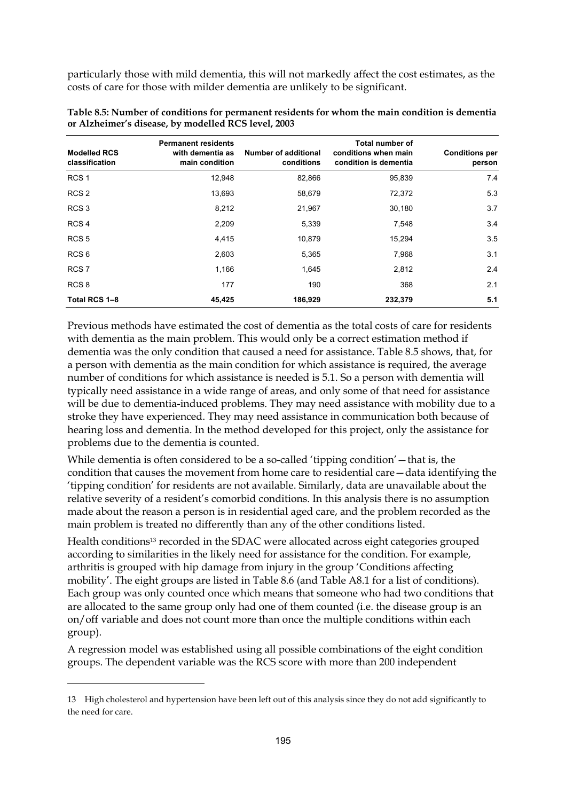particularly those with mild dementia, this will not markedly affect the cost estimates, as the costs of care for those with milder dementia are unlikely to be significant.

| <b>Modelled RCS</b><br>classification | <b>Permanent residents</b><br>with dementia as<br>main condition | <b>Number of additional</b><br>conditions | <b>Total number of</b><br>conditions when main<br>condition is dementia | <b>Conditions per</b><br>person |
|---------------------------------------|------------------------------------------------------------------|-------------------------------------------|-------------------------------------------------------------------------|---------------------------------|
| RCS <sub>1</sub>                      | 12,948                                                           | 82,866                                    | 95,839                                                                  | 7.4                             |
| RCS <sub>2</sub>                      | 13,693                                                           | 58,679                                    | 72,372                                                                  | 5.3                             |
| RCS <sub>3</sub>                      | 8,212                                                            | 21,967                                    | 30,180                                                                  | 3.7                             |
| RCS <sub>4</sub>                      | 2,209                                                            | 5,339                                     | 7,548                                                                   | 3.4                             |
| RCS <sub>5</sub>                      | 4,415                                                            | 10,879                                    | 15,294                                                                  | 3.5                             |
| RCS <sub>6</sub>                      | 2,603                                                            | 5,365                                     | 7,968                                                                   | 3.1                             |
| RCS <sub>7</sub>                      | 1,166                                                            | 1,645                                     | 2,812                                                                   | 2.4                             |
| RCS <sub>8</sub>                      | 177                                                              | 190                                       | 368                                                                     | 2.1                             |
| Total RCS 1-8                         | 45,425                                                           | 186,929                                   | 232,379                                                                 | 5.1                             |

**Table 8.5: Number of conditions for permanent residents for whom the main condition is dementia or Alzheimer's disease, by modelled RCS level, 2003** 

Previous methods have estimated the cost of dementia as the total costs of care for residents with dementia as the main problem. This would only be a correct estimation method if dementia was the only condition that caused a need for assistance. Table 8.5 shows, that, for a person with dementia as the main condition for which assistance is required, the average number of conditions for which assistance is needed is 5.1. So a person with dementia will typically need assistance in a wide range of areas, and only some of that need for assistance will be due to dementia-induced problems. They may need assistance with mobility due to a stroke they have experienced. They may need assistance in communication both because of hearing loss and dementia. In the method developed for this project, only the assistance for problems due to the dementia is counted.

While dementia is often considered to be a so-called 'tipping condition' — that is, the condition that causes the movement from home care to residential care—data identifying the 'tipping condition' for residents are not available. Similarly, data are unavailable about the relative severity of a resident's comorbid conditions. In this analysis there is no assumption made about the reason a person is in residential aged care, and the problem recorded as the main problem is treated no differently than any of the other conditions listed.

Health conditions13 recorded in the SDAC were allocated across eight categories grouped according to similarities in the likely need for assistance for the condition. For example, arthritis is grouped with hip damage from injury in the group 'Conditions affecting mobility'. The eight groups are listed in Table 8.6 (and Table A8.1 for a list of conditions). Each group was only counted once which means that someone who had two conditions that are allocated to the same group only had one of them counted (i.e. the disease group is an on/off variable and does not count more than once the multiple conditions within each group).

A regression model was established using all possible combinations of the eight condition groups. The dependent variable was the RCS score with more than 200 independent

 $\overline{a}$ 

<sup>13</sup> High cholesterol and hypertension have been left out of this analysis since they do not add significantly to the need for care.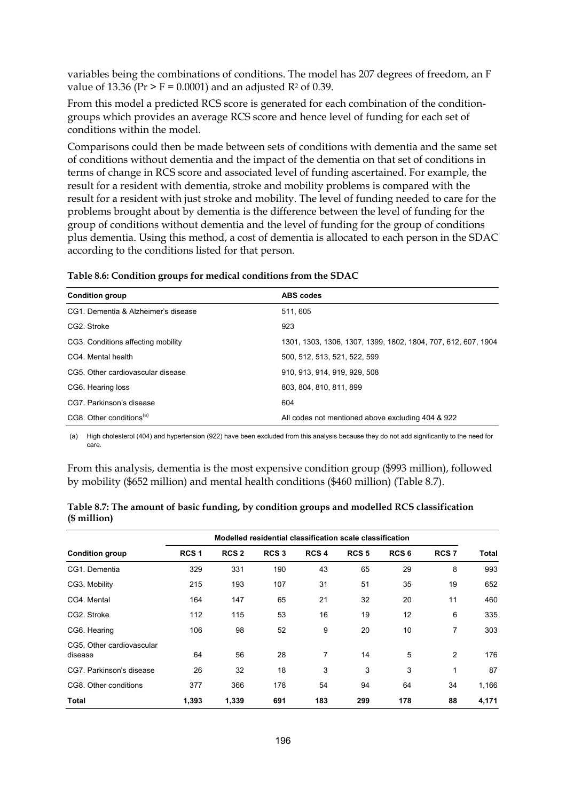variables being the combinations of conditions. The model has 207 degrees of freedom, an F value of 13.36 ( $Pr > F = 0.0001$ ) and an adjusted  $R^2$  of 0.39.

From this model a predicted RCS score is generated for each combination of the conditiongroups which provides an average RCS score and hence level of funding for each set of conditions within the model.

Comparisons could then be made between sets of conditions with dementia and the same set of conditions without dementia and the impact of the dementia on that set of conditions in terms of change in RCS score and associated level of funding ascertained. For example, the result for a resident with dementia, stroke and mobility problems is compared with the result for a resident with just stroke and mobility. The level of funding needed to care for the problems brought about by dementia is the difference between the level of funding for the group of conditions without dementia and the level of funding for the group of conditions plus dementia. Using this method, a cost of dementia is allocated to each person in the SDAC according to the conditions listed for that person.

| Table 8.6: Condition groups for medical conditions from the SDAC |  |
|------------------------------------------------------------------|--|
|                                                                  |  |

| <b>Condition group</b>               | <b>ABS</b> codes                                              |
|--------------------------------------|---------------------------------------------------------------|
| CG1. Dementia & Alzheimer's disease  | 511.605                                                       |
| CG2. Stroke                          | 923                                                           |
| CG3. Conditions affecting mobility   | 1301, 1303, 1306, 1307, 1399, 1802, 1804, 707, 612, 607, 1904 |
| CG4. Mental health                   | 500, 512, 513, 521, 522, 599                                  |
| CG5. Other cardiovascular disease    | 910, 913, 914, 919, 929, 508                                  |
| CG6. Hearing loss                    | 803.804.810.811.899                                           |
| CG7. Parkinson's disease             | 604                                                           |
| CG8. Other conditions <sup>(a)</sup> | All codes not mentioned above excluding 404 & 922             |

(a) High cholesterol (404) and hypertension (922) have been excluded from this analysis because they do not add significantly to the need for care.

From this analysis, dementia is the most expensive condition group (\$993 million), followed by mobility (\$652 million) and mental health conditions (\$460 million) (Table 8.7).

|                                      |                  |                  | Modelled residential classification scale classification |                  |                  |                  |                  |       |
|--------------------------------------|------------------|------------------|----------------------------------------------------------|------------------|------------------|------------------|------------------|-------|
| <b>Condition group</b>               | RCS <sub>1</sub> | RCS <sub>2</sub> | RCS <sub>3</sub>                                         | RCS <sub>4</sub> | RCS <sub>5</sub> | RCS <sub>6</sub> | RCS <sub>7</sub> | Total |
| CG1. Dementia                        | 329              | 331              | 190                                                      | 43               | 65               | 29               | 8                | 993   |
| CG3. Mobility                        | 215              | 193              | 107                                                      | 31               | 51               | 35               | 19               | 652   |
| CG4. Mental                          | 164              | 147              | 65                                                       | 21               | 32               | 20               | 11               | 460   |
| CG2. Stroke                          | 112              | 115              | 53                                                       | 16               | 19               | 12               | 6                | 335   |
| CG6. Hearing                         | 106              | 98               | 52                                                       | 9                | 20               | 10               | 7                | 303   |
| CG5. Other cardiovascular<br>disease | 64               | 56               | 28                                                       | 7                | 14               | 5                | 2                | 176   |
| CG7. Parkinson's disease             | 26               | 32               | 18                                                       | 3                | 3                | 3                | 1                | 87    |
| CG8. Other conditions                | 377              | 366              | 178                                                      | 54               | 94               | 64               | 34               | 1,166 |
| Total                                | 1,393            | 1,339            | 691                                                      | 183              | 299              | 178              | 88               | 4,171 |

| Table 8.7: The amount of basic funding, by condition groups and modelled RCS classification |  |
|---------------------------------------------------------------------------------------------|--|
| $($$ million $)$                                                                            |  |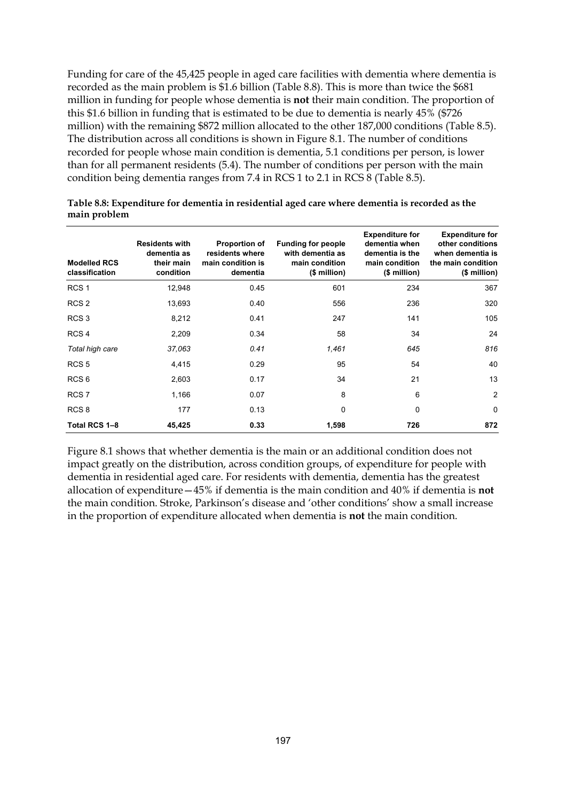Funding for care of the 45,425 people in aged care facilities with dementia where dementia is recorded as the main problem is \$1.6 billion (Table 8.8). This is more than twice the \$681 million in funding for people whose dementia is **not** their main condition. The proportion of this \$1.6 billion in funding that is estimated to be due to dementia is nearly 45% (\$726 million) with the remaining \$872 million allocated to the other 187,000 conditions (Table 8.5). The distribution across all conditions is shown in Figure 8.1. The number of conditions recorded for people whose main condition is dementia, 5.1 conditions per person, is lower than for all permanent residents (5.4). The number of conditions per person with the main condition being dementia ranges from 7.4 in RCS 1 to 2.1 in RCS 8 (Table 8.5).

| <b>Modelled RCS</b><br>classification | <b>Residents with</b><br>dementia as<br>their main<br>condition | <b>Proportion of</b><br>residents where<br>main condition is<br>dementia | <b>Funding for people</b><br>with dementia as<br>main condition<br>(\$ million) | <b>Expenditure for</b><br>dementia when<br>dementia is the<br>main condition<br>(\$ million) | <b>Expenditure for</b><br>other conditions<br>when dementia is<br>the main condition<br>$$$ million) |
|---------------------------------------|-----------------------------------------------------------------|--------------------------------------------------------------------------|---------------------------------------------------------------------------------|----------------------------------------------------------------------------------------------|------------------------------------------------------------------------------------------------------|
| RCS <sub>1</sub>                      | 12,948                                                          | 0.45                                                                     | 601                                                                             | 234                                                                                          | 367                                                                                                  |
| RCS <sub>2</sub>                      | 13,693                                                          | 0.40                                                                     | 556                                                                             | 236                                                                                          | 320                                                                                                  |
| RCS <sub>3</sub>                      | 8,212                                                           | 0.41                                                                     | 247                                                                             | 141                                                                                          | 105                                                                                                  |
| RCS <sub>4</sub>                      | 2,209                                                           | 0.34                                                                     | 58                                                                              | 34                                                                                           | 24                                                                                                   |
| Total high care                       | 37,063                                                          | 0.41                                                                     | 1,461                                                                           | 645                                                                                          | 816                                                                                                  |
| RCS <sub>5</sub>                      | 4,415                                                           | 0.29                                                                     | 95                                                                              | 54                                                                                           | 40                                                                                                   |
| RCS <sub>6</sub>                      | 2,603                                                           | 0.17                                                                     | 34                                                                              | 21                                                                                           | 13                                                                                                   |
| RCS <sub>7</sub>                      | 1,166                                                           | 0.07                                                                     | 8                                                                               | 6                                                                                            | $\overline{2}$                                                                                       |
| RCS <sub>8</sub>                      | 177                                                             | 0.13                                                                     | 0                                                                               | 0                                                                                            | 0                                                                                                    |
| Total RCS 1-8                         | 45,425                                                          | 0.33                                                                     | 1,598                                                                           | 726                                                                                          | 872                                                                                                  |

**Table 8.8: Expenditure for dementia in residential aged care where dementia is recorded as the main problem** 

Figure 8.1 shows that whether dementia is the main or an additional condition does not impact greatly on the distribution, across condition groups, of expenditure for people with dementia in residential aged care. For residents with dementia, dementia has the greatest allocation of expenditure—45% if dementia is the main condition and 40% if dementia is **not**  the main condition. Stroke, Parkinson's disease and 'other conditions' show a small increase in the proportion of expenditure allocated when dementia is **not** the main condition.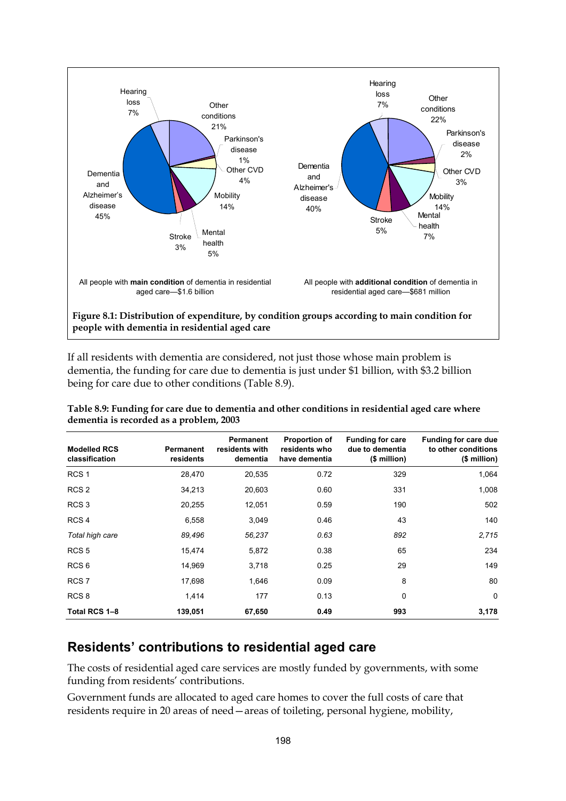

If all residents with dementia are considered, not just those whose main problem is dementia, the funding for care due to dementia is just under \$1 billion, with \$3.2 billion being for care due to other conditions (Table 8.9).

| <b>Modelled RCS</b><br>classification | Permanent<br>residents | Permanent<br>residents with<br>dementia | <b>Proportion of</b><br>residents who<br>have dementia | <b>Funding for care</b><br>due to dementia<br>(\$ million) | Funding for care due<br>to other conditions<br>(\$ million) |
|---------------------------------------|------------------------|-----------------------------------------|--------------------------------------------------------|------------------------------------------------------------|-------------------------------------------------------------|
| RCS <sub>1</sub>                      | 28,470                 | 20,535                                  | 0.72                                                   | 329                                                        | 1,064                                                       |
| RCS <sub>2</sub>                      | 34,213                 | 20,603                                  | 0.60                                                   | 331                                                        | 1,008                                                       |
| RCS <sub>3</sub>                      | 20,255                 | 12,051                                  | 0.59                                                   | 190                                                        | 502                                                         |
| RCS <sub>4</sub>                      | 6,558                  | 3,049                                   | 0.46                                                   | 43                                                         | 140                                                         |
| Total high care                       | 89,496                 | 56,237                                  | 0.63                                                   | 892                                                        | 2,715                                                       |
| RCS <sub>5</sub>                      | 15,474                 | 5,872                                   | 0.38                                                   | 65                                                         | 234                                                         |
| RCS <sub>6</sub>                      | 14,969                 | 3,718                                   | 0.25                                                   | 29                                                         | 149                                                         |
| RCS <sub>7</sub>                      | 17,698                 | 1,646                                   | 0.09                                                   | 8                                                          | 80                                                          |
| RCS <sub>8</sub>                      | 1,414                  | 177                                     | 0.13                                                   | 0                                                          | $\mathbf 0$                                                 |
| Total RCS 1-8                         | 139,051                | 67,650                                  | 0.49                                                   | 993                                                        | 3,178                                                       |

**Table 8.9: Funding for care due to dementia and other conditions in residential aged care where dementia is recorded as a problem, 2003** 

#### **Residents' contributions to residential aged care**

The costs of residential aged care services are mostly funded by governments, with some funding from residents' contributions.

Government funds are allocated to aged care homes to cover the full costs of care that residents require in 20 areas of need—areas of toileting, personal hygiene, mobility,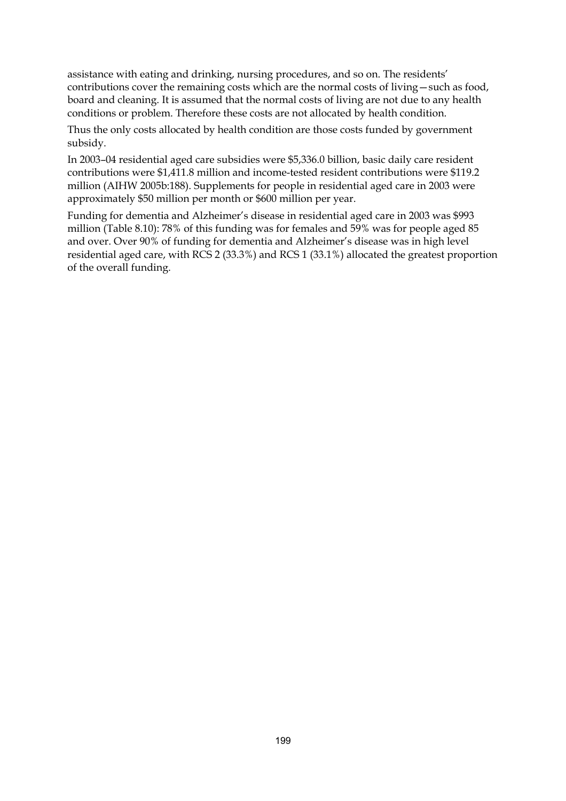assistance with eating and drinking, nursing procedures, and so on. The residents' contributions cover the remaining costs which are the normal costs of living—such as food, board and cleaning. It is assumed that the normal costs of living are not due to any health conditions or problem. Therefore these costs are not allocated by health condition.

Thus the only costs allocated by health condition are those costs funded by government subsidy.

In 2003–04 residential aged care subsidies were \$5,336.0 billion, basic daily care resident contributions were \$1,411.8 million and income-tested resident contributions were \$119.2 million (AIHW 2005b:188). Supplements for people in residential aged care in 2003 were approximately \$50 million per month or \$600 million per year.

Funding for dementia and Alzheimer's disease in residential aged care in 2003 was \$993 million (Table 8.10): 78% of this funding was for females and 59% was for people aged 85 and over. Over 90% of funding for dementia and Alzheimer's disease was in high level residential aged care, with RCS 2 (33.3%) and RCS 1 (33.1%) allocated the greatest proportion of the overall funding.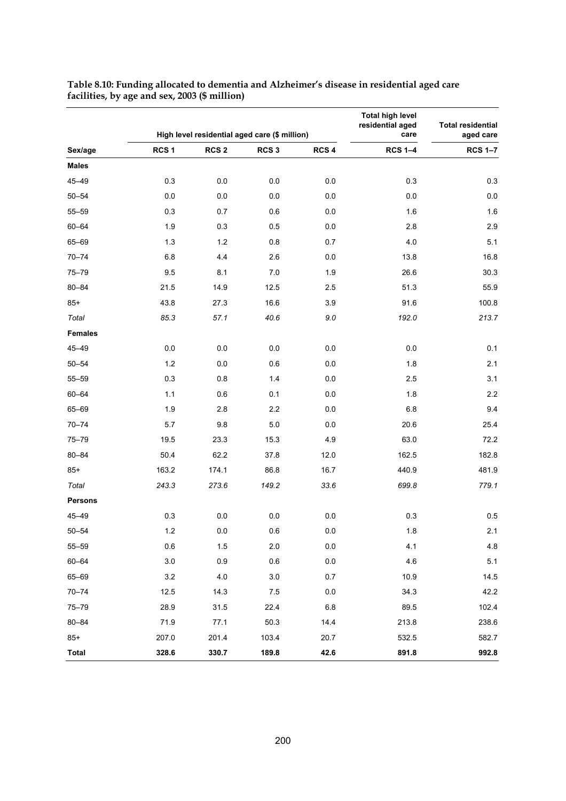|                |                  |                  | High level residential aged care (\$ million) |                  | <b>Total high level</b><br>residential aged<br>care | <b>Total residential</b><br>aged care |
|----------------|------------------|------------------|-----------------------------------------------|------------------|-----------------------------------------------------|---------------------------------------|
| Sex/age        | RCS <sub>1</sub> | RCS <sub>2</sub> | RCS <sub>3</sub>                              | RCS <sub>4</sub> | <b>RCS 1-4</b>                                      | <b>RCS 1-7</b>                        |
| <b>Males</b>   |                  |                  |                                               |                  |                                                     |                                       |
| 45-49          | 0.3              | $0.0\,$          | 0.0                                           | 0.0              | 0.3                                                 | 0.3                                   |
| $50 - 54$      | 0.0              | 0.0              | 0.0                                           | 0.0              | 0.0                                                 | $0.0\,$                               |
| $55 - 59$      | 0.3              | 0.7              | 0.6                                           | 0.0              | 1.6                                                 | 1.6                                   |
| $60 - 64$      | 1.9              | 0.3              | 0.5                                           | 0.0              | 2.8                                                 | 2.9                                   |
| 65-69          | 1.3              | 1.2              | 0.8                                           | 0.7              | $4.0$                                               | 5.1                                   |
| $70 - 74$      | 6.8              | 4.4              | 2.6                                           | $0.0\,$          | 13.8                                                | 16.8                                  |
| $75 - 79$      | 9.5              | 8.1              | 7.0                                           | 1.9              | 26.6                                                | 30.3                                  |
| $80 - 84$      | 21.5             | 14.9             | 12.5                                          | 2.5              | 51.3                                                | 55.9                                  |
| $85+$          | 43.8             | 27.3             | 16.6                                          | 3.9              | 91.6                                                | 100.8                                 |
| Total          | 85.3             | 57.1             | 40.6                                          | $9.0\,$          | 192.0                                               | 213.7                                 |
| <b>Females</b> |                  |                  |                                               |                  |                                                     |                                       |
| 45-49          | 0.0              | $0.0\,$          | 0.0                                           | 0.0              | 0.0                                                 | 0.1                                   |
| $50 - 54$      | $1.2$            | $0.0\,$          | 0.6                                           | 0.0              | 1.8                                                 | 2.1                                   |
| $55 - 59$      | 0.3              | 0.8              | 1.4                                           | 0.0              | 2.5                                                 | 3.1                                   |
| $60 - 64$      | 1.1              | 0.6              | 0.1                                           | 0.0              | 1.8                                                 | 2.2                                   |
| 65-69          | 1.9              | 2.8              | 2.2                                           | 0.0              | $6.8\,$                                             | 9.4                                   |
| $70 - 74$      | 5.7              | 9.8              | 5.0                                           | 0.0              | 20.6                                                | 25.4                                  |
| $75 - 79$      | 19.5             | 23.3             | 15.3                                          | 4.9              | 63.0                                                | 72.2                                  |
| $80 - 84$      | 50.4             | 62.2             | 37.8                                          | 12.0             | 162.5                                               | 182.8                                 |
| $85+$          | 163.2            | 174.1            | 86.8                                          | 16.7             | 440.9                                               | 481.9                                 |
| Total          | 243.3            | 273.6            | 149.2                                         | 33.6             | 699.8                                               | 779.1                                 |
| <b>Persons</b> |                  |                  |                                               |                  |                                                     |                                       |
| 45-49          | 0.3              | 0.0              | 0.0                                           | $0.0\,$          | 0.3                                                 | 0.5                                   |
| $50 - 54$      | $1.2$            | $0.0\,$          | $0.6\,$                                       | $0.0\,$          | 1.8                                                 | 2.1                                   |
| $55 - 59$      | 0.6              | 1.5              | 2.0                                           | 0.0              | 4.1                                                 | 4.8                                   |
| $60 - 64$      | $3.0\,$          | 0.9              | 0.6                                           | $0.0\,$          | 4.6                                                 | 5.1                                   |
| 65-69          | $3.2\,$          | 4.0              | 3.0                                           | 0.7              | 10.9                                                | 14.5                                  |
| $70 - 74$      | 12.5             | 14.3             | 7.5                                           | 0.0              | 34.3                                                | 42.2                                  |
| $75 - 79$      | 28.9             | 31.5             | 22.4                                          | $6.8\,$          | 89.5                                                | 102.4                                 |
| $80 - 84$      | 71.9             | 77.1             | 50.3                                          | 14.4             | 213.8                                               | 238.6                                 |
| $85+$          | 207.0            | 201.4            | 103.4                                         | 20.7             | 532.5                                               | 582.7                                 |
| <b>Total</b>   | 328.6            | 330.7            | 189.8                                         | 42.6             | 891.8                                               | 992.8                                 |

#### **Table 8.10: Funding allocated to dementia and Alzheimer's disease in residential aged care facilities, by age and sex, 2003 (\$ million)**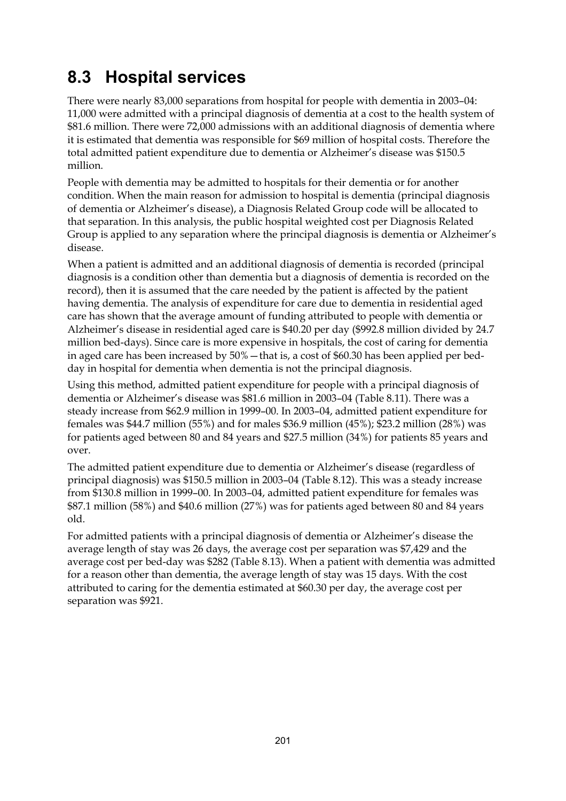## **8.3 Hospital services**

There were nearly 83,000 separations from hospital for people with dementia in 2003–04: 11,000 were admitted with a principal diagnosis of dementia at a cost to the health system of \$81.6 million. There were 72,000 admissions with an additional diagnosis of dementia where it is estimated that dementia was responsible for \$69 million of hospital costs. Therefore the total admitted patient expenditure due to dementia or Alzheimer's disease was \$150.5 million.

People with dementia may be admitted to hospitals for their dementia or for another condition. When the main reason for admission to hospital is dementia (principal diagnosis of dementia or Alzheimer's disease), a Diagnosis Related Group code will be allocated to that separation. In this analysis, the public hospital weighted cost per Diagnosis Related Group is applied to any separation where the principal diagnosis is dementia or Alzheimer's disease.

When a patient is admitted and an additional diagnosis of dementia is recorded (principal diagnosis is a condition other than dementia but a diagnosis of dementia is recorded on the record), then it is assumed that the care needed by the patient is affected by the patient having dementia. The analysis of expenditure for care due to dementia in residential aged care has shown that the average amount of funding attributed to people with dementia or Alzheimer's disease in residential aged care is \$40.20 per day (\$992.8 million divided by 24.7 million bed-days). Since care is more expensive in hospitals, the cost of caring for dementia in aged care has been increased by 50%—that is, a cost of \$60.30 has been applied per bedday in hospital for dementia when dementia is not the principal diagnosis.

Using this method, admitted patient expenditure for people with a principal diagnosis of dementia or Alzheimer's disease was \$81.6 million in 2003–04 (Table 8.11). There was a steady increase from \$62.9 million in 1999–00. In 2003–04, admitted patient expenditure for females was \$44.7 million (55%) and for males \$36.9 million (45%); \$23.2 million (28%) was for patients aged between 80 and 84 years and \$27.5 million (34%) for patients 85 years and over.

The admitted patient expenditure due to dementia or Alzheimer's disease (regardless of principal diagnosis) was \$150.5 million in 2003–04 (Table 8.12). This was a steady increase from \$130.8 million in 1999–00. In 2003–04, admitted patient expenditure for females was \$87.1 million (58%) and \$40.6 million (27%) was for patients aged between 80 and 84 years old.

For admitted patients with a principal diagnosis of dementia or Alzheimer's disease the average length of stay was 26 days, the average cost per separation was \$7,429 and the average cost per bed-day was \$282 (Table 8.13). When a patient with dementia was admitted for a reason other than dementia, the average length of stay was 15 days. With the cost attributed to caring for the dementia estimated at \$60.30 per day, the average cost per separation was \$921.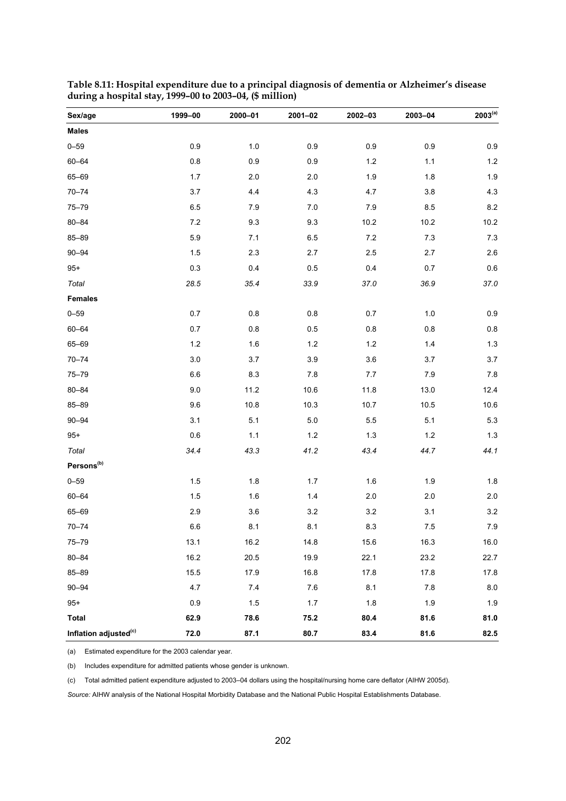| Sex/age                           | 1999-00 | 2000-01 | 2001-02 | 2002-03 | 2003-04 | $2003^{(a)}$ |
|-----------------------------------|---------|---------|---------|---------|---------|--------------|
| <b>Males</b>                      |         |         |         |         |         |              |
| $0 - 59$                          | $0.9\,$ | $1.0$   | $0.9\,$ | $0.9\,$ | 0.9     | 0.9          |
| $60 - 64$                         | $0.8\,$ | 0.9     | $0.9\,$ | $1.2$   | 1.1     | $1.2$        |
| 65-69                             | $1.7$   | 2.0     | 2.0     | 1.9     | 1.8     | 1.9          |
| $70 - 74$                         | 3.7     | 4.4     | 4.3     | 4.7     | 3.8     | 4.3          |
| $75 - 79$                         | 6.5     | 7.9     | 7.0     | 7.9     | 8.5     | $8.2\,$      |
| $80 - 84$                         | 7.2     | 9.3     | 9.3     | 10.2    | 10.2    | 10.2         |
| $85 - 89$                         | 5.9     | 7.1     | 6.5     | 7.2     | 7.3     | 7.3          |
| $90 - 94$                         | 1.5     | 2.3     | 2.7     | 2.5     | 2.7     | 2.6          |
| $95+$                             | 0.3     | 0.4     | 0.5     | 0.4     | 0.7     | $0.6\,$      |
| Total                             | 28.5    | 35.4    | 33.9    | 37.0    | 36.9    | 37.0         |
| <b>Females</b>                    |         |         |         |         |         |              |
| $0 - 59$                          | 0.7     | 0.8     | $0.8\,$ | 0.7     | $1.0$   | 0.9          |
| $60 - 64$                         | 0.7     | 0.8     | 0.5     | $0.8\,$ | $0.8\,$ | $0.8\,$      |
| 65-69                             | $1.2$   | 1.6     | 1.2     | $1.2$   | 1.4     | $1.3$        |
| $70 - 74$                         | $3.0\,$ | 3.7     | 3.9     | 3.6     | 3.7     | $3.7\,$      |
| $75 - 79$                         | $6.6\,$ | 8.3     | 7.8     | 7.7     | $7.9$   | $7.8\,$      |
| $80 - 84$                         | 9.0     | 11.2    | 10.6    | 11.8    | 13.0    | 12.4         |
| 85-89                             | 9.6     | 10.8    | 10.3    | 10.7    | 10.5    | 10.6         |
| $90 - 94$                         | 3.1     | 5.1     | $5.0\,$ | 5.5     | 5.1     | 5.3          |
| $95+$                             | 0.6     | 1.1     | 1.2     | 1.3     | $1.2$   | $1.3$        |
| Total                             | 34.4    | 43.3    | 41.2    | 43.4    | 44.7    | 44.1         |
| Persons <sup>(b)</sup>            |         |         |         |         |         |              |
| $0 - 59$                          | 1.5     | 1.8     | 1.7     | 1.6     | 1.9     | $1.8\,$      |
| $60 - 64$                         | $1.5$   | 1.6     | $1.4$   | $2.0\,$ | 2.0     | $2.0\,$      |
| 65-69                             | 2.9     | 3.6     | $3.2\,$ | 3.2     | 3.1     | 3.2          |
| $70 - 74$                         | 6.6     | 8.1     | 8.1     | 8.3     | 7.5     | 7.9          |
| $75 - 79$                         | 13.1    | 16.2    | 14.8    | 15.6    | 16.3    | 16.0         |
| $80 - 84$                         | 16.2    | 20.5    | 19.9    | 22.1    | 23.2    | 22.7         |
| 85-89                             | 15.5    | 17.9    | 16.8    | 17.8    | 17.8    | 17.8         |
| $90 - 94$                         | 4.7     | 7.4     | 7.6     | 8.1     | $7.8$   | 8.0          |
| $95+$                             | 0.9     | 1.5     | $1.7$   | 1.8     | 1.9     | 1.9          |
| <b>Total</b>                      | 62.9    | 78.6    | 75.2    | 80.4    | 81.6    | 81.0         |
| Inflation adjusted <sup>(c)</sup> | 72.0    | 87.1    | 80.7    | 83.4    | 81.6    | 82.5         |

**Table 8.11: Hospital expenditure due to a principal diagnosis of dementia or Alzheimer's disease during a hospital stay, 1999–00 to 2003–04, (\$ million)** 

(a) Estimated expenditure for the 2003 calendar year.

(b) Includes expenditure for admitted patients whose gender is unknown.

(c) Total admitted patient expenditure adjusted to 2003–04 dollars using the hospital/nursing home care deflator (AIHW 2005d).

*Source:* AIHW analysis of the National Hospital Morbidity Database and the National Public Hospital Establishments Database.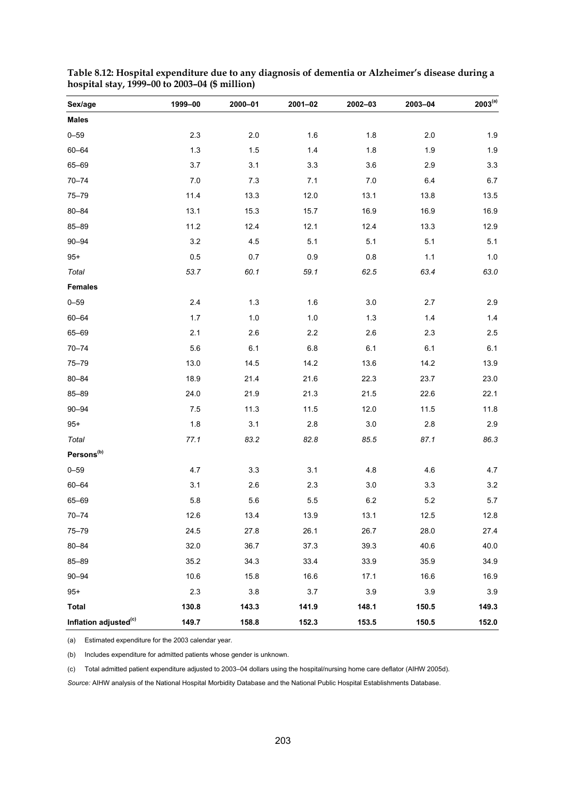| Sex/age                           | 1999-00 | 2000-01 | 2001-02 | 2002-03 | 2003-04 | $2003^{(a)}$ |
|-----------------------------------|---------|---------|---------|---------|---------|--------------|
| <b>Males</b>                      |         |         |         |         |         |              |
| $0 - 59$                          | 2.3     | 2.0     | 1.6     | 1.8     | 2.0     | 1.9          |
| $60 - 64$                         | $1.3$   | 1.5     | 1.4     | 1.8     | 1.9     | 1.9          |
| $65 - 69$                         | 3.7     | 3.1     | 3.3     | 3.6     | 2.9     | 3.3          |
| $70 - 74$                         | 7.0     | 7.3     | 7.1     | 7.0     | 6.4     | 6.7          |
| $75 - 79$                         | 11.4    | 13.3    | 12.0    | 13.1    | 13.8    | 13.5         |
| $80 - 84$                         | 13.1    | 15.3    | 15.7    | 16.9    | 16.9    | 16.9         |
| $85 - 89$                         | 11.2    | 12.4    | 12.1    | 12.4    | 13.3    | 12.9         |
| $90 - 94$                         | $3.2\,$ | 4.5     | 5.1     | 5.1     | 5.1     | 5.1          |
| $95+$                             | 0.5     | 0.7     | 0.9     | 0.8     | 1.1     | 1.0          |
| Total                             | 53.7    | 60.1    | 59.1    | 62.5    | 63.4    | 63.0         |
| <b>Females</b>                    |         |         |         |         |         |              |
| $0 - 59$                          | 2.4     | $1.3$   | 1.6     | 3.0     | 2.7     | 2.9          |
| $60 - 64$                         | $1.7$   | $1.0$   | $1.0$   | $1.3$   | $1.4$   | 1.4          |
| 65-69                             | 2.1     | 2.6     | 2.2     | 2.6     | 2.3     | 2.5          |
| $70 - 74$                         | 5.6     | 6.1     | 6.8     | 6.1     | 6.1     | 6.1          |
| $75 - 79$                         | 13.0    | 14.5    | 14.2    | 13.6    | 14.2    | 13.9         |
| $80 - 84$                         | 18.9    | 21.4    | 21.6    | 22.3    | 23.7    | 23.0         |
| $85 - 89$                         | 24.0    | 21.9    | 21.3    | 21.5    | 22.6    | 22.1         |
| $90 - 94$                         | 7.5     | 11.3    | 11.5    | 12.0    | 11.5    | 11.8         |
| $95+$                             | 1.8     | 3.1     | $2.8\,$ | $3.0\,$ | 2.8     | 2.9          |
| Total                             | 77.1    | 83.2    | 82.8    | 85.5    | 87.1    | 86.3         |
| Persons <sup>(b)</sup>            |         |         |         |         |         |              |
| $0 - 59$                          | 4.7     | 3.3     | 3.1     | 4.8     | 4.6     | 4.7          |
| $60 - 64$                         | 3.1     | 2.6     | 2.3     | 3.0     | 3.3     | 3.2          |
| 65-69                             | 5.8     | 5.6     | 5.5     | $6.2\,$ | 5.2     | 5.7          |
| $70 - 74$                         | 12.6    | 13.4    | 13.9    | 13.1    | 12.5    | 12.8         |
| $75 - 79$                         | 24.5    | 27.8    | 26.1    | 26.7    | 28.0    | 27.4         |
| $80 - 84$                         | 32.0    | 36.7    | 37.3    | 39.3    | 40.6    | 40.0         |
| 85-89                             | 35.2    | 34.3    | 33.4    | 33.9    | 35.9    | 34.9         |
| $90 - 94$                         | 10.6    | 15.8    | 16.6    | 17.1    | 16.6    | 16.9         |
| $95+$                             | $2.3\,$ | 3.8     | 3.7     | 3.9     | 3.9     | 3.9          |
| <b>Total</b>                      | 130.8   | 143.3   | 141.9   | 148.1   | 150.5   | 149.3        |
| Inflation adjusted <sup>(c)</sup> | 149.7   | 158.8   | 152.3   | 153.5   | 150.5   | 152.0        |

**Table 8.12: Hospital expenditure due to any diagnosis of dementia or Alzheimer's disease during a hospital stay, 1999–00 to 2003–04 (\$ million)** 

(a) Estimated expenditure for the 2003 calendar year.

(b) Includes expenditure for admitted patients whose gender is unknown.

(c) Total admitted patient expenditure adjusted to 2003–04 dollars using the hospital/nursing home care deflator (AIHW 2005d).

*Source:* AIHW analysis of the National Hospital Morbidity Database and the National Public Hospital Establishments Database.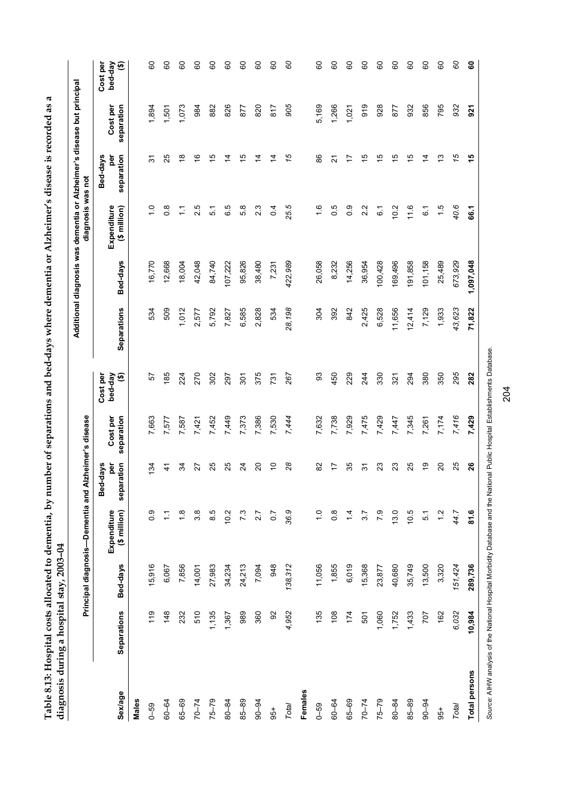| mar's discalator is reading and                       |                                           |
|-------------------------------------------------------|-------------------------------------------|
| contro or a primar-                                   |                                           |
| renotions and hold both are dreams.<br>3              |                                           |
| $n_{\rm T}$ mumber of car<br>$\overline{\phantom{a}}$ |                                           |
| Lahle & 13. Hosnital costs allocated to dement        | diagnosis during a hospital stav, 2003-04 |
| さいさつ コーン・ココンロスコースコン ついり                               |                                           |

|               |                                                                                                                             |          | Principal diagnosis--Dementia and Alzheimer's disease |                                    |                        |                          |             |           | Additional diagnosis was dementia or Alzheimer's disease but principal<br>diagnosis was not |                               |                        |                          |
|---------------|-----------------------------------------------------------------------------------------------------------------------------|----------|-------------------------------------------------------|------------------------------------|------------------------|--------------------------|-------------|-----------|---------------------------------------------------------------------------------------------|-------------------------------|------------------------|--------------------------|
| Sex/age       | Separations                                                                                                                 | Bed-days | Expenditure<br>(\$ million)                           | ration<br>Bed-days<br>per<br>separ | Cost per<br>separation | Cost per<br>bed-day<br>⊕ | Separations | Bed-days  | (\$ million)<br>Expenditure                                                                 | Bed-days<br>per<br>separation | separation<br>Cost per | bed-day<br>Cost per<br>⊕ |
| Males         |                                                                                                                             |          |                                                       |                                    |                        |                          |             |           |                                                                                             |                               |                        |                          |
| $0 - 59$      | 119                                                                                                                         | 15,916   | $\frac{0}{2}$                                         | $\overline{3}$                     | 7,663                  | 5                        | 534         | 16,770    | $\frac{1}{\sqrt{2}}$                                                                        | స్                            | 1,894                  | 8                        |
| 60-64         | 148                                                                                                                         | 6,067    | Ξ                                                     | $\ddot{4}$                         | 7,577                  | 185                      | 509         | 12,668    | $\frac{8}{2}$                                                                               | 25                            | 1,501                  | 8                        |
| 65-69         | 232                                                                                                                         | 7,856    | $\frac{8}{1}$                                         | 34                                 | 7,587                  | 224                      | 1,012       | 18,004    | Ξ                                                                                           | $\frac{8}{1}$                 | 1,073                  | 8                        |
| $70 - 74$     | 510                                                                                                                         | 14,001   | 3.8                                                   | 27                                 | 7,421                  | 270                      | 2,577       | 42,048    | 2.5                                                                                         | $\frac{6}{5}$                 | 984                    | 8                        |
| $75 - 79$     | 1,135                                                                                                                       | 27,983   | $\frac{6}{8}$                                         | 25                                 | 7,452                  | 302                      | 5,792       | 84,740    | 5.1                                                                                         | 15                            | 882                    | 8                        |
| 80-84         | 1,367                                                                                                                       | 34,234   | 10.2                                                  | 25                                 | 7,449                  | 297                      | 7,827       | 107,222   | 6.5                                                                                         | $\overline{4}$                | 826                    | 8                        |
| 85-89         | 989                                                                                                                         | 24,213   | 7.3                                                   | $\overline{2}$                     | 7,373                  | 301                      | 6,585       | 95,826    | 5.8                                                                                         | 15                            | 877                    | 8                        |
| $90 - 94$     | 360                                                                                                                         | 7,094    | 2.7                                                   | $\overline{c}$                     | 7,386                  | 375                      | 2,828       | 38,480    | $2.\overline{3}$                                                                            | $\dot{4}$                     | 820                    | 8                        |
| $-56$         | 92                                                                                                                          | 948      | $\overline{0.7}$                                      | $\overline{C}$                     | 7,530                  | 731                      | 534         | 7,231     | 0.4                                                                                         | $\overline{4}$                | 817                    | 8                        |
| Total         | 4,952                                                                                                                       | 138,312  | 36.9                                                  | $\overline{\mathcal{S}}$           | 7,444                  | 267                      | 28,198      | 422,989   | 25.5                                                                                        | 75                            | 905                    | 99                       |
| Females       |                                                                                                                             |          |                                                       |                                    |                        |                          |             |           |                                                                                             |                               |                        |                          |
| $0 - 59$      | 135                                                                                                                         | 11,056   | $\frac{1}{2}$                                         | 82                                 | 7,632                  | 3                        | 304         | 26,058    | $\frac{6}{1}$                                                                               | 86                            | 5,169                  | 8                        |
| 60-64         | 108                                                                                                                         | 1,855    | $0.\overline{8}$                                      | 17                                 | 7,738                  | 450                      | 392         | 8,232     | 0.5                                                                                         | $\overline{2}$                | 1,266                  | 8                        |
| 65-69         | 174                                                                                                                         | 6,019    | $\dot{4}$                                             | 35                                 | 7,929                  | 229                      | 842         | 14,256    | 0.9                                                                                         | 17                            | 1,021                  | 8                        |
| $70 - 74$     | 501                                                                                                                         | 15,368   | 3.7                                                   | $\frac{1}{2}$                      | 7,475                  | 244                      | 2,425       | 36,954    | 2.2                                                                                         | $\frac{1}{2}$                 | 919                    | 8                        |
| $75 - 79$     | 1,060                                                                                                                       | 23,877   | 7.9                                                   | 23                                 | 7,429                  | 330                      | 6,528       | 100,428   | $\overline{6}$                                                                              | 15                            | 928                    | 8                        |
| 80-84         | 1,752                                                                                                                       | 40,680   | 13.0                                                  | 23                                 | 7,447                  | 321                      | 11,656      | 169,496   | 10.2                                                                                        | 15                            | 877                    | 8                        |
| 85-89         | 1,433                                                                                                                       | 35,749   | 10.5                                                  | 25                                 | 7,345                  | 294                      | 12,414      | 191,858   | 11.6                                                                                        | $\frac{5}{2}$                 | 932                    | 8                        |
| $90 - 94$     | 707                                                                                                                         | 13,500   | $\overline{5}$                                        | 6Ļ                                 | 7,261                  | 380                      | 7,129       | 101,158   | 6.1                                                                                         | 4                             | 856                    | 8                        |
| $-56$         | 162                                                                                                                         | 3,320    | $\frac{2}{1}$                                         | $\overline{c}$                     | 7,174                  | 350                      | 1,933       | 25,489    | $\frac{5}{1}$                                                                               | $\frac{3}{2}$                 | 795                    | 8                        |
| Total         | 6,032                                                                                                                       | 151,424  | 44.7                                                  | 25                                 | 7,416                  | 295                      | 43,623      | 673,929   | 40.6                                                                                        | 75                            | 932                    | 99                       |
| Total persons | 10,984                                                                                                                      | 289,736  | 81.6                                                  | 26                                 | 7,429                  | 282                      | 71,822      | 1,097,048 | 66.1                                                                                        | 45                            | 921                    | 8                        |
|               | Source: AIHW analysis of the National Hospital Morbidity Database and the National Public Hospital Establishments Database. |          |                                                       |                                    |                        |                          |             |           |                                                                                             |                               |                        |                          |

204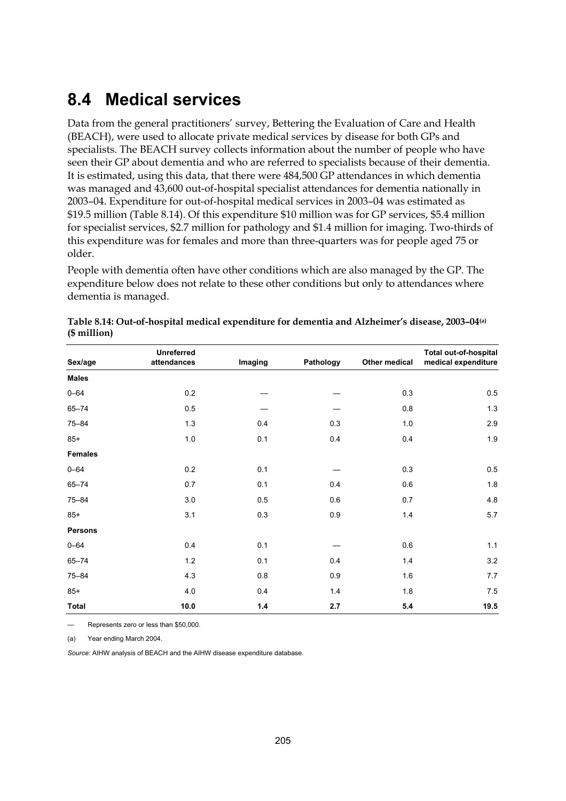### **8.4 Medical services**

Data from the general practitioners' survey, Bettering the Evaluation of Care and Health (BEACH), were used to allocate private medical services by disease for both GPs and specialists. The BEACH survey collects information about the number of people who have seen their GP about dementia and who are referred to specialists because of their dementia. It is estimated, using this data, that there were 484,500 GP attendances in which dementia was managed and 43,600 out-of-hospital specialist attendances for dementia nationally in 2003–04. Expenditure for out-of-hospital medical services in 2003–04 was estimated as \$19.5 million (Table 8.14). Of this expenditure \$10 million was for GP services, \$5.4 million for specialist services, \$2.7 million for pathology and \$1.4 million for imaging. Two-thirds of this expenditure was for females and more than three-quarters was for people aged 75 or older.

People with dementia often have other conditions which are also managed by the GP. The expenditure below does not relate to these other conditions but only to attendances where dementia is managed.

|                | <b>Unreferred</b> |         |           |               | <b>Total out-of-hospital</b> |
|----------------|-------------------|---------|-----------|---------------|------------------------------|
| Sex/age        | attendances       | Imaging | Pathology | Other medical | medical expenditure          |
| <b>Males</b>   |                   |         |           |               |                              |
| $0 - 64$       | 0.2               |         |           | 0.3           | 0.5                          |
| $65 - 74$      | 0.5               |         |           | 0.8           | 1.3                          |
| $75 - 84$      | 1.3               | 0.4     | 0.3       | $1.0$         | 2.9                          |
| $85+$          | 1.0               | 0.1     | 0.4       | 0.4           | $1.9\,$                      |
| <b>Females</b> |                   |         |           |               |                              |
| $0 - 64$       | 0.2               | 0.1     |           | 0.3           | 0.5                          |
| $65 - 74$      | 0.7               | 0.1     | 0.4       | 0.6           | 1.8                          |
| $75 - 84$      | 3.0               | 0.5     | 0.6       | 0.7           | 4.8                          |
| $85+$          | 3.1               | 0.3     | 0.9       | 1.4           | 5.7                          |
| <b>Persons</b> |                   |         |           |               |                              |
| $0 - 64$       | 0.4               | 0.1     |           | 0.6           | $1.1$                        |
| $65 - 74$      | 1.2               | 0.1     | 0.4       | 1.4           | $3.2\,$                      |
| $75 - 84$      | 4.3               | $0.8\,$ | 0.9       | 1.6           | 7.7                          |
| $85+$          | 4.0               | 0.4     | 1.4       | 1.8           | 7.5                          |
| <b>Total</b>   | 10.0              | $1.4$   | 2.7       | 5.4           | 19.5                         |

**Table 8.14: Out-of-hospital medical expenditure for dementia and Alzheimer's disease, 2003–04(a) (\$ million)** 

— Represents zero or less than \$50,000.

(a) Year ending March 2004.

*Source:* AIHW analysis of BEACH and the AIHW disease expenditure database.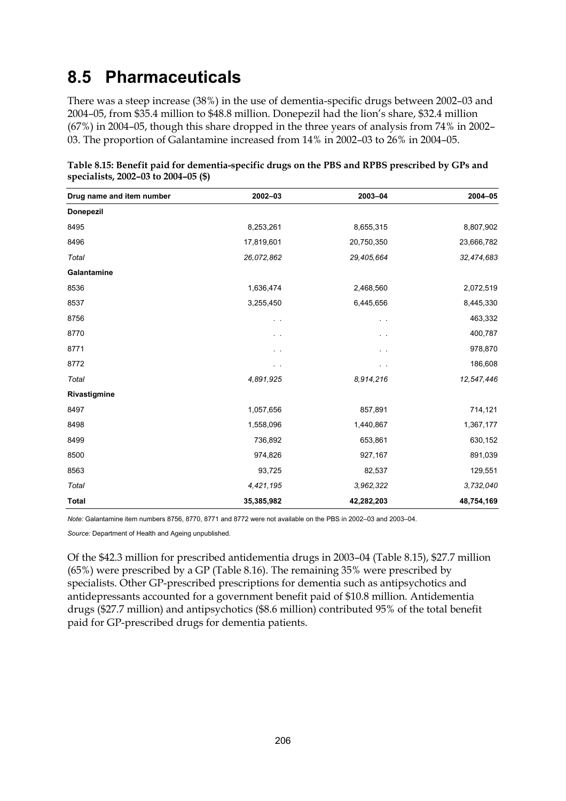### **8.5 Pharmaceuticals**

There was a steep increase (38%) in the use of dementia-specific drugs between 2002–03 and 2004–05, from \$35.4 million to \$48.8 million. Donepezil had the lion's share, \$32.4 million (67%) in 2004–05, though this share dropped in the three years of analysis from 74% in 2002– 03. The proportion of Galantamine increased from 14% in 2002–03 to 26% in 2004–05.

| Drug name and item number | 2002-03       | 2003-04    | 2004-05    |
|---------------------------|---------------|------------|------------|
| <b>Donepezil</b>          |               |            |            |
| 8495                      | 8,253,261     | 8,655,315  | 8,807,902  |
| 8496                      | 17,819,601    | 20,750,350 | 23,666,782 |
| Total                     | 26,072,862    | 29,405,664 | 32,474,683 |
| Galantamine               |               |            |            |
| 8536                      | 1,636,474     | 2,468,560  | 2,072,519  |
| 8537                      | 3,255,450     | 6,445,656  | 8,445,330  |
| 8756                      | $\sim$        | $\sim$     | 463,332    |
| 8770                      | $\sim$ $\sim$ | . .        | 400,787    |
| 8771                      | . .           |            | 978,870    |
| 8772                      |               | . .        | 186,608    |
| Total                     | 4,891,925     | 8,914,216  | 12,547,446 |
| Rivastigmine              |               |            |            |
| 8497                      | 1,057,656     | 857,891    | 714,121    |
| 8498                      | 1,558,096     | 1,440,867  | 1,367,177  |
| 8499                      | 736,892       | 653,861    | 630,152    |
| 8500                      | 974,826       | 927,167    | 891,039    |
| 8563                      | 93,725        | 82,537     | 129,551    |
| Total                     | 4,421,195     | 3,962,322  | 3,732,040  |
| <b>Total</b>              | 35,385,982    | 42,282,203 | 48,754,169 |

**Table 8.15: Benefit paid for dementia-specific drugs on the PBS and RPBS prescribed by GPs and specialists, 2002–03 to 2004–05 (\$)** 

*Note:* Galantamine item numbers 8756, 8770, 8771 and 8772 were not available on the PBS in 2002–03 and 2003–04.

*Source:* Department of Health and Ageing unpublished.

Of the \$42.3 million for prescribed antidementia drugs in 2003–04 (Table 8.15), \$27.7 million (65%) were prescribed by a GP (Table 8.16). The remaining 35% were prescribed by specialists. Other GP-prescribed prescriptions for dementia such as antipsychotics and antidepressants accounted for a government benefit paid of \$10.8 million. Antidementia drugs (\$27.7 million) and antipsychotics (\$8.6 million) contributed 95% of the total benefit paid for GP-prescribed drugs for dementia patients.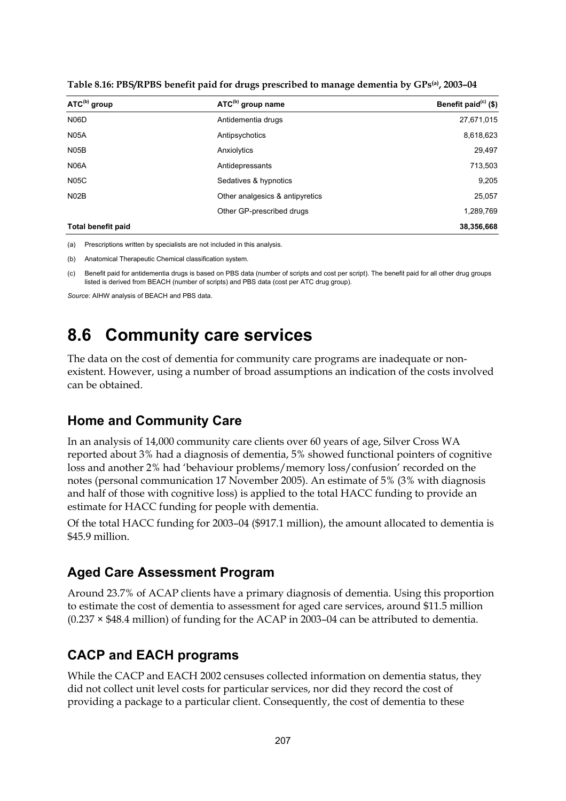| ATC <sup>(b)</sup> group  | ATC <sup>(b)</sup> group name   | Benefit paid $(c)$ (\$) |
|---------------------------|---------------------------------|-------------------------|
| N <sub>06</sub> D         | Antidementia drugs              | 27,671,015              |
| <b>N05A</b>               | Antipsychotics                  | 8,618,623               |
| N <sub>05</sub> B         | Anxiolytics                     | 29,497                  |
| <b>N06A</b>               | Antidepressants                 | 713,503                 |
| <b>N05C</b>               | Sedatives & hypnotics           | 9,205                   |
| N02B                      | Other analgesics & antipyretics | 25,057                  |
|                           | Other GP-prescribed drugs       | 1,289,769               |
| <b>Total benefit paid</b> |                                 | 38,356,668              |

**Table 8.16: PBS/RPBS benefit paid for drugs prescribed to manage dementia by GPs(a), 2003–04** 

(a) Prescriptions written by specialists are not included in this analysis.

(b) Anatomical Therapeutic Chemical classification system.

(c) Benefit paid for antidementia drugs is based on PBS data (number of scripts and cost per script). The benefit paid for all other drug groups listed is derived from BEACH (number of scripts) and PBS data (cost per ATC drug group).

*Source:* AIHW analysis of BEACH and PBS data.

### **8.6 Community care services**

The data on the cost of dementia for community care programs are inadequate or nonexistent. However, using a number of broad assumptions an indication of the costs involved can be obtained.

#### **Home and Community Care**

In an analysis of 14,000 community care clients over 60 years of age, Silver Cross WA reported about 3% had a diagnosis of dementia, 5% showed functional pointers of cognitive loss and another 2% had 'behaviour problems/memory loss/confusion' recorded on the notes (personal communication 17 November 2005). An estimate of 5% (3% with diagnosis and half of those with cognitive loss) is applied to the total HACC funding to provide an estimate for HACC funding for people with dementia.

Of the total HACC funding for 2003–04 (\$917.1 million), the amount allocated to dementia is \$45.9 million.

#### **Aged Care Assessment Program**

Around 23.7% of ACAP clients have a primary diagnosis of dementia. Using this proportion to estimate the cost of dementia to assessment for aged care services, around \$11.5 million  $(0.237 \times $48.4$  million) of funding for the ACAP in 2003–04 can be attributed to dementia.

#### **CACP and EACH programs**

While the CACP and EACH 2002 censuses collected information on dementia status, they did not collect unit level costs for particular services, nor did they record the cost of providing a package to a particular client. Consequently, the cost of dementia to these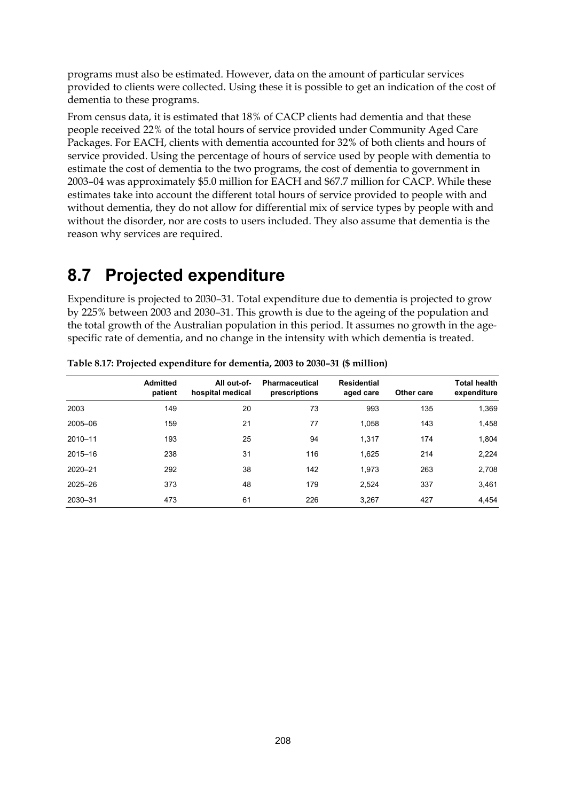programs must also be estimated. However, data on the amount of particular services provided to clients were collected. Using these it is possible to get an indication of the cost of dementia to these programs.

From census data, it is estimated that 18% of CACP clients had dementia and that these people received 22% of the total hours of service provided under Community Aged Care Packages. For EACH, clients with dementia accounted for 32% of both clients and hours of service provided. Using the percentage of hours of service used by people with dementia to estimate the cost of dementia to the two programs, the cost of dementia to government in 2003–04 was approximately \$5.0 million for EACH and \$67.7 million for CACP. While these estimates take into account the different total hours of service provided to people with and without dementia, they do not allow for differential mix of service types by people with and without the disorder, nor are costs to users included. They also assume that dementia is the reason why services are required.

### **8.7 Projected expenditure**

Expenditure is projected to 2030–31. Total expenditure due to dementia is projected to grow by 225% between 2003 and 2030–31. This growth is due to the ageing of the population and the total growth of the Australian population in this period. It assumes no growth in the agespecific rate of dementia, and no change in the intensity with which dementia is treated.

|         | <b>Admitted</b><br>patient | All out-of-<br>hospital medical | <b>Pharmaceutical</b><br>prescriptions | Residential<br>aged care | Other care | <b>Total health</b><br>expenditure |
|---------|----------------------------|---------------------------------|----------------------------------------|--------------------------|------------|------------------------------------|
| 2003    | 149                        | 20                              | 73                                     | 993                      | 135        | 1,369                              |
| 2005-06 | 159                        | 21                              | 77                                     | 1,058                    | 143        | 1,458                              |
| 2010-11 | 193                        | 25                              | 94                                     | 1,317                    | 174        | 1,804                              |
| 2015-16 | 238                        | 31                              | 116                                    | 1,625                    | 214        | 2,224                              |
| 2020-21 | 292                        | 38                              | 142                                    | 1,973                    | 263        | 2,708                              |
| 2025-26 | 373                        | 48                              | 179                                    | 2,524                    | 337        | 3,461                              |
| 2030-31 | 473                        | 61                              | 226                                    | 3.267                    | 427        | 4.454                              |

**Table 8.17: Projected expenditure for dementia, 2003 to 2030–31 (\$ million)**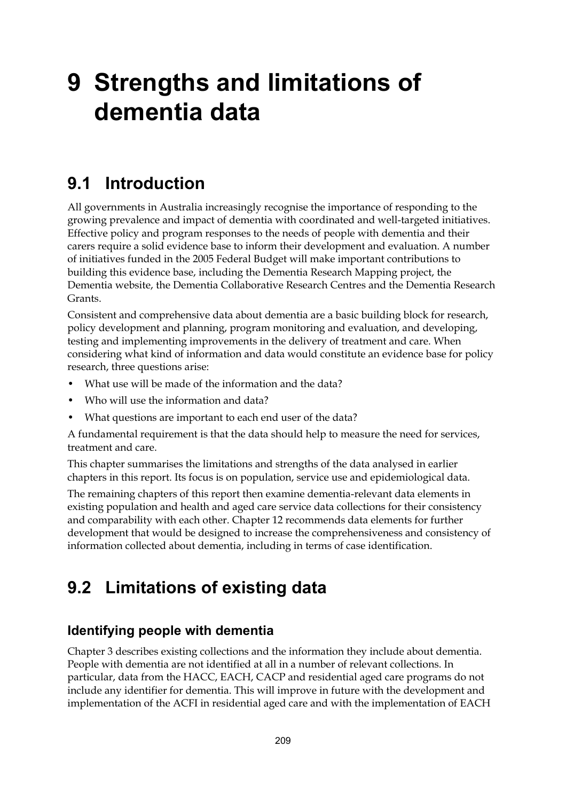## **9 Strengths and limitations of dementia data**

### **9.1 Introduction**

All governments in Australia increasingly recognise the importance of responding to the growing prevalence and impact of dementia with coordinated and well-targeted initiatives. Effective policy and program responses to the needs of people with dementia and their carers require a solid evidence base to inform their development and evaluation. A number of initiatives funded in the 2005 Federal Budget will make important contributions to building this evidence base, including the Dementia Research Mapping project, the Dementia website, the Dementia Collaborative Research Centres and the Dementia Research Grants.

Consistent and comprehensive data about dementia are a basic building block for research, policy development and planning, program monitoring and evaluation, and developing, testing and implementing improvements in the delivery of treatment and care. When considering what kind of information and data would constitute an evidence base for policy research, three questions arise:

- What use will be made of the information and the data?
- Who will use the information and data?
- What questions are important to each end user of the data?

A fundamental requirement is that the data should help to measure the need for services, treatment and care.

This chapter summarises the limitations and strengths of the data analysed in earlier chapters in this report. Its focus is on population, service use and epidemiological data.

The remaining chapters of this report then examine dementia-relevant data elements in existing population and health and aged care service data collections for their consistency and comparability with each other. Chapter 12 recommends data elements for further development that would be designed to increase the comprehensiveness and consistency of information collected about dementia, including in terms of case identification.

## **9.2 Limitations of existing data**

#### **Identifying people with dementia**

Chapter 3 describes existing collections and the information they include about dementia. People with dementia are not identified at all in a number of relevant collections. In particular, data from the HACC, EACH, CACP and residential aged care programs do not include any identifier for dementia. This will improve in future with the development and implementation of the ACFI in residential aged care and with the implementation of EACH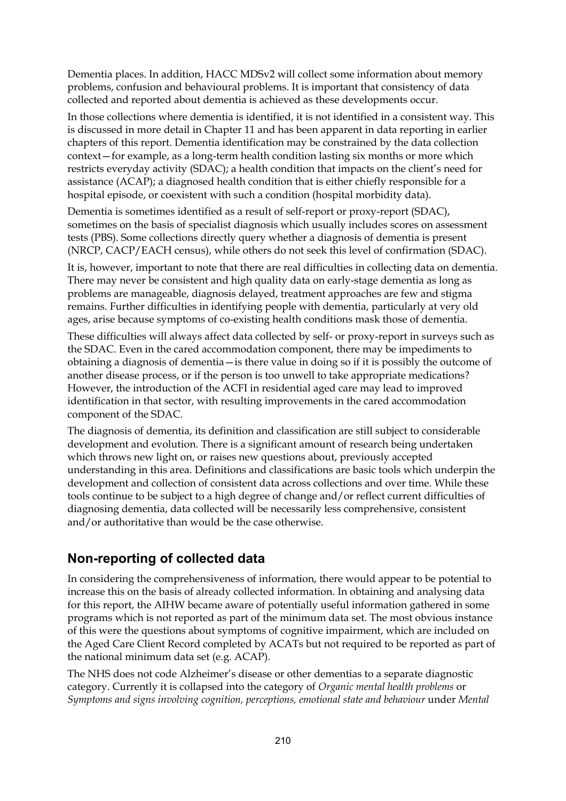Dementia places. In addition, HACC MDSv2 will collect some information about memory problems, confusion and behavioural problems. It is important that consistency of data collected and reported about dementia is achieved as these developments occur.

In those collections where dementia is identified, it is not identified in a consistent way. This is discussed in more detail in Chapter 11 and has been apparent in data reporting in earlier chapters of this report. Dementia identification may be constrained by the data collection context—for example, as a long-term health condition lasting six months or more which restricts everyday activity (SDAC); a health condition that impacts on the client's need for assistance (ACAP); a diagnosed health condition that is either chiefly responsible for a hospital episode, or coexistent with such a condition (hospital morbidity data).

Dementia is sometimes identified as a result of self-report or proxy-report (SDAC), sometimes on the basis of specialist diagnosis which usually includes scores on assessment tests (PBS). Some collections directly query whether a diagnosis of dementia is present (NRCP, CACP/EACH census), while others do not seek this level of confirmation (SDAC).

It is, however, important to note that there are real difficulties in collecting data on dementia. There may never be consistent and high quality data on early-stage dementia as long as problems are manageable, diagnosis delayed, treatment approaches are few and stigma remains. Further difficulties in identifying people with dementia, particularly at very old ages, arise because symptoms of co-existing health conditions mask those of dementia.

These difficulties will always affect data collected by self- or proxy-report in surveys such as the SDAC. Even in the cared accommodation component, there may be impediments to obtaining a diagnosis of dementia—is there value in doing so if it is possibly the outcome of another disease process, or if the person is too unwell to take appropriate medications? However, the introduction of the ACFI in residential aged care may lead to improved identification in that sector, with resulting improvements in the cared accommodation component of the SDAC.

The diagnosis of dementia, its definition and classification are still subject to considerable development and evolution. There is a significant amount of research being undertaken which throws new light on, or raises new questions about, previously accepted understanding in this area. Definitions and classifications are basic tools which underpin the development and collection of consistent data across collections and over time. While these tools continue to be subject to a high degree of change and/or reflect current difficulties of diagnosing dementia, data collected will be necessarily less comprehensive, consistent and/or authoritative than would be the case otherwise.

#### **Non-reporting of collected data**

In considering the comprehensiveness of information, there would appear to be potential to increase this on the basis of already collected information. In obtaining and analysing data for this report, the AIHW became aware of potentially useful information gathered in some programs which is not reported as part of the minimum data set. The most obvious instance of this were the questions about symptoms of cognitive impairment, which are included on the Aged Care Client Record completed by ACATs but not required to be reported as part of the national minimum data set (e.g. ACAP).

The NHS does not code Alzheimer's disease or other dementias to a separate diagnostic category. Currently it is collapsed into the category of *Organic mental health problems* or *Symptoms and signs involving cognition, perceptions, emotional state and behaviour* under *Mental*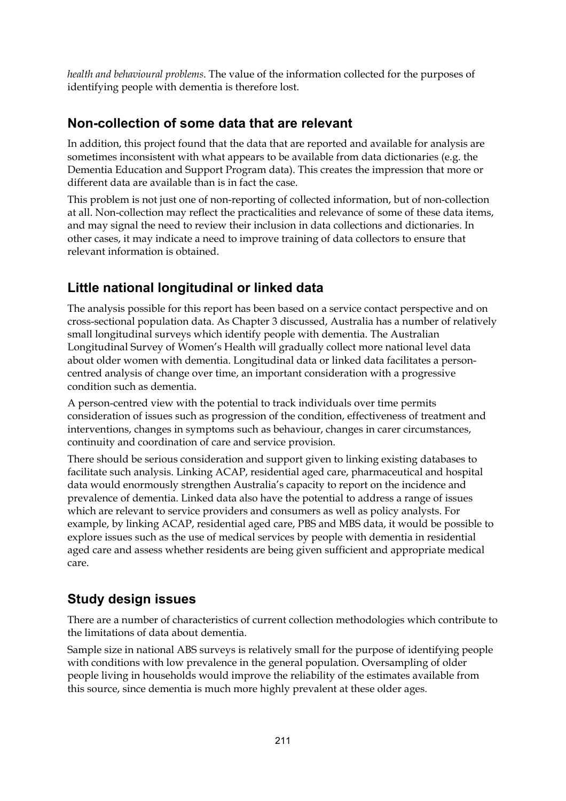*health and behavioural problems*. The value of the information collected for the purposes of identifying people with dementia is therefore lost.

#### **Non-collection of some data that are relevant**

In addition, this project found that the data that are reported and available for analysis are sometimes inconsistent with what appears to be available from data dictionaries (e.g. the Dementia Education and Support Program data). This creates the impression that more or different data are available than is in fact the case.

This problem is not just one of non-reporting of collected information, but of non-collection at all. Non-collection may reflect the practicalities and relevance of some of these data items, and may signal the need to review their inclusion in data collections and dictionaries. In other cases, it may indicate a need to improve training of data collectors to ensure that relevant information is obtained.

### **Little national longitudinal or linked data**

The analysis possible for this report has been based on a service contact perspective and on cross-sectional population data. As Chapter 3 discussed, Australia has a number of relatively small longitudinal surveys which identify people with dementia. The Australian Longitudinal Survey of Women's Health will gradually collect more national level data about older women with dementia. Longitudinal data or linked data facilitates a personcentred analysis of change over time, an important consideration with a progressive condition such as dementia.

A person-centred view with the potential to track individuals over time permits consideration of issues such as progression of the condition, effectiveness of treatment and interventions, changes in symptoms such as behaviour, changes in carer circumstances, continuity and coordination of care and service provision.

There should be serious consideration and support given to linking existing databases to facilitate such analysis. Linking ACAP, residential aged care, pharmaceutical and hospital data would enormously strengthen Australia's capacity to report on the incidence and prevalence of dementia. Linked data also have the potential to address a range of issues which are relevant to service providers and consumers as well as policy analysts. For example, by linking ACAP, residential aged care, PBS and MBS data, it would be possible to explore issues such as the use of medical services by people with dementia in residential aged care and assess whether residents are being given sufficient and appropriate medical care.

### **Study design issues**

There are a number of characteristics of current collection methodologies which contribute to the limitations of data about dementia.

Sample size in national ABS surveys is relatively small for the purpose of identifying people with conditions with low prevalence in the general population. Oversampling of older people living in households would improve the reliability of the estimates available from this source, since dementia is much more highly prevalent at these older ages.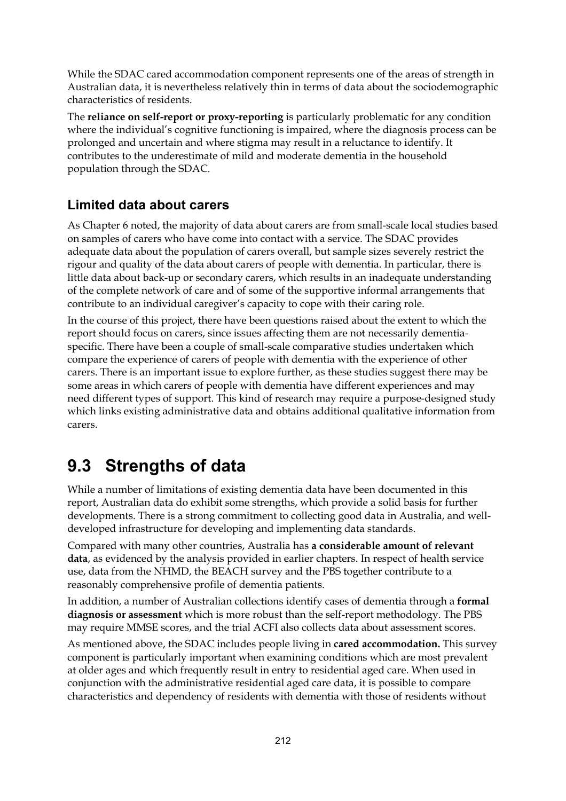While the SDAC cared accommodation component represents one of the areas of strength in Australian data, it is nevertheless relatively thin in terms of data about the sociodemographic characteristics of residents.

The **reliance on self-report or proxy-reporting** is particularly problematic for any condition where the individual's cognitive functioning is impaired, where the diagnosis process can be prolonged and uncertain and where stigma may result in a reluctance to identify. It contributes to the underestimate of mild and moderate dementia in the household population through the SDAC.

#### **Limited data about carers**

As Chapter 6 noted, the majority of data about carers are from small-scale local studies based on samples of carers who have come into contact with a service. The SDAC provides adequate data about the population of carers overall, but sample sizes severely restrict the rigour and quality of the data about carers of people with dementia. In particular, there is little data about back-up or secondary carers, which results in an inadequate understanding of the complete network of care and of some of the supportive informal arrangements that contribute to an individual caregiver's capacity to cope with their caring role.

In the course of this project, there have been questions raised about the extent to which the report should focus on carers, since issues affecting them are not necessarily dementiaspecific. There have been a couple of small-scale comparative studies undertaken which compare the experience of carers of people with dementia with the experience of other carers. There is an important issue to explore further, as these studies suggest there may be some areas in which carers of people with dementia have different experiences and may need different types of support. This kind of research may require a purpose-designed study which links existing administrative data and obtains additional qualitative information from carers.

## **9.3 Strengths of data**

While a number of limitations of existing dementia data have been documented in this report, Australian data do exhibit some strengths, which provide a solid basis for further developments. There is a strong commitment to collecting good data in Australia, and welldeveloped infrastructure for developing and implementing data standards.

Compared with many other countries, Australia has **a considerable amount of relevant data**, as evidenced by the analysis provided in earlier chapters. In respect of health service use, data from the NHMD, the BEACH survey and the PBS together contribute to a reasonably comprehensive profile of dementia patients.

In addition, a number of Australian collections identify cases of dementia through a **formal diagnosis or assessment** which is more robust than the self-report methodology. The PBS may require MMSE scores, and the trial ACFI also collects data about assessment scores.

As mentioned above, the SDAC includes people living in **cared accommodation.** This survey component is particularly important when examining conditions which are most prevalent at older ages and which frequently result in entry to residential aged care. When used in conjunction with the administrative residential aged care data, it is possible to compare characteristics and dependency of residents with dementia with those of residents without